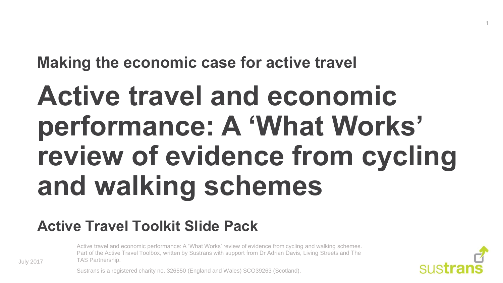**Making the economic case for active travel**

# **Active travel and economic performance: A 'What Works' review of evidence from cycling and walking schemes**

#### **Active Travel Toolkit Slide Pack**

Active travel and economic performance: A 'What Works' review of evidence from cycling and walking schemes. Part of the Active Travel Toolbox, written by Sustrans with support from Dr Adrian Davis, Living Streets and The TAS Partnership.



1

Sustrans is a registered charity no. 326550 (England and Wales) SCO39263 (Scotland).

July 2017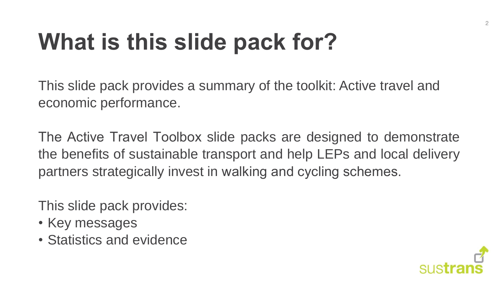## **What is this slide pack for?**

This slide pack provides a summary of the toolkit: Active travel and economic performance.

The Active Travel Toolbox slide packs are designed to demonstrate the benefits of sustainable transport and help LEPs and local delivery partners strategically invest in walking and cycling schemes.

This slide pack provides:

- Key messages
- Statistics and evidence

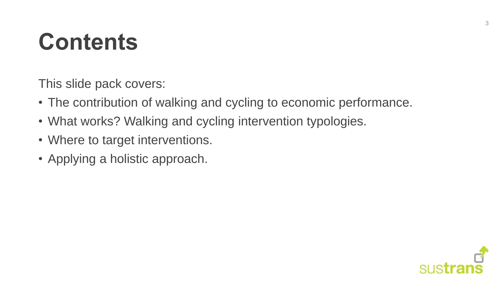#### **Contents**

This slide pack covers:

- The contribution of walking and cycling to economic performance.
- What works? Walking and cycling intervention typologies.
- Where to target interventions.
- Applying a holistic approach.

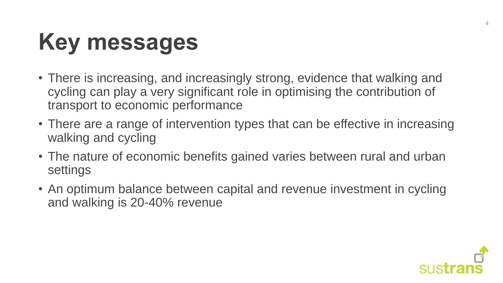## **Key messages**

- There is increasing, and increasingly strong, evidence that walking and cycling can play a very significant role in optimising the contribution of transport to economic performance
- There are a range of intervention types that can be effective in increasing walking and cycling
- The nature of economic benefits gained varies between rural and urban settings
- An optimum balance between capital and revenue investment in cycling and walking is 20-40% revenue

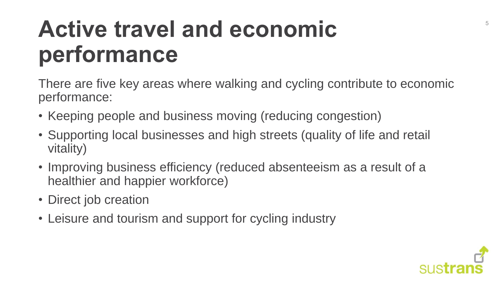#### **Active travel and economic performance**

There are five key areas where walking and cycling contribute to economic performance:

- Keeping people and business moving (reducing congestion)
- Supporting local businesses and high streets (quality of life and retail vitality)
- Improving business efficiency (reduced absenteeism as a result of a healthier and happier workforce)
- Direct job creation
- Leisure and tourism and support for cycling industry

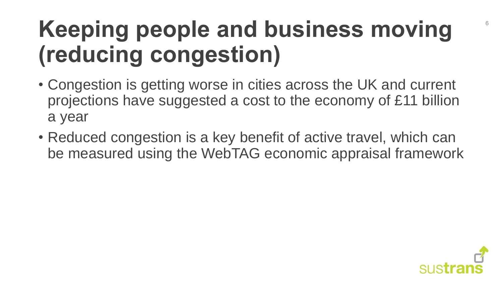### **Keeping people and business moving (reducing congestion)**

- Congestion is getting worse in cities across the UK and current projections have suggested a cost to the economy of £11 billion a year
- Reduced congestion is a key benefit of active travel, which can be measured using the WebTAG economic appraisal framework

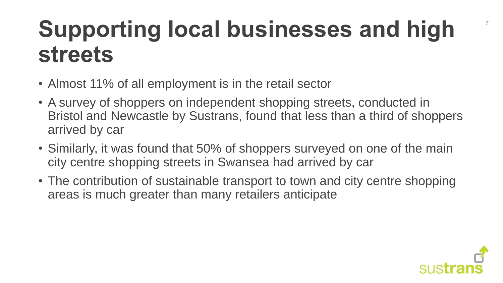#### **Supporting local businesses and high streets**

- Almost 11% of all employment is in the retail sector
- A survey of shoppers on independent shopping streets, conducted in Bristol and Newcastle by Sustrans, found that less than a third of shoppers arrived by car
- Similarly, it was found that 50% of shoppers surveyed on one of the main city centre shopping streets in Swansea had arrived by car
- The contribution of sustainable transport to town and city centre shopping areas is much greater than many retailers anticipate



7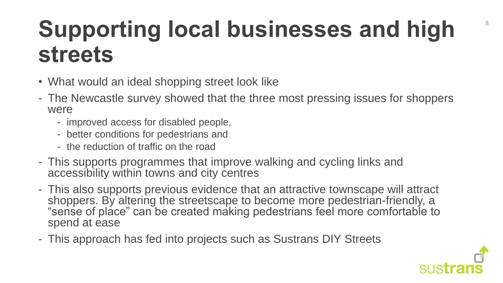#### **Supporting local businesses and high streets**

- What would an ideal shopping street look like
- The Newcastle survey showed that the three most pressing issues for shoppers were
	- improved access for disabled people,
	- better conditions for pedestrians and
	- the reduction of traffic on the road
- This supports programmes that improve walking and cycling links and accessibility within towns and city centres
- This also supports previous evidence that an attractive townscape will attract shoppers. By altering the streetscape to become more pedestrian-friendly, a "sense of place" can be created making pedestrians feel more comfortable to spend at ease
- This approach has fed into projects such as Sustrans DIY Streets

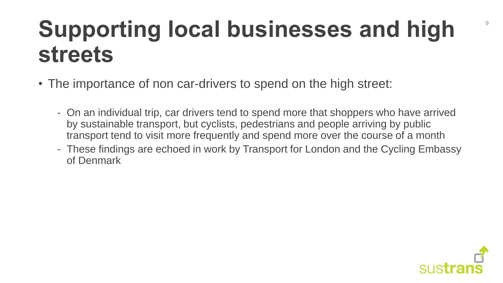#### **Supporting local businesses and high streets**

- The importance of non car-drivers to spend on the high street:
	- On an individual trip, car drivers tend to spend more that shoppers who have arrived by sustainable transport, but cyclists, pedestrians and people arriving by public transport tend to visit more frequently and spend more over the course of a month
	- These findings are echoed in work by Transport for London and the Cycling Embassy of Denmark



9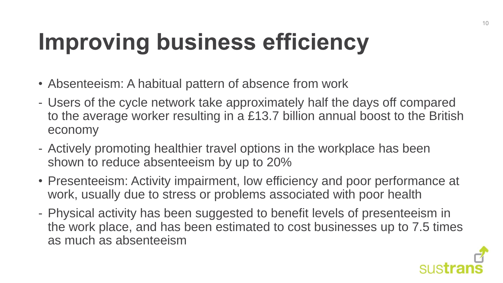## **Improving business efficiency**

- Absenteeism: A habitual pattern of absence from work
- Users of the cycle network take approximately half the days off compared to the average worker resulting in a £13.7 billion annual boost to the British economy
- Actively promoting healthier travel options in the workplace has been shown to reduce absenteeism by up to 20%
- Presenteeism: Activity impairment, low efficiency and poor performance at work, usually due to stress or problems associated with poor health
- Physical activity has been suggested to benefit levels of presenteeism in the work place, and has been estimated to cost businesses up to 7.5 times as much as absenteeism

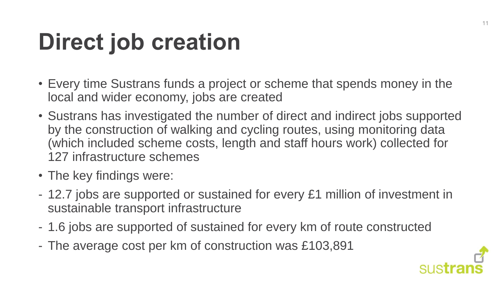## **Direct job creation**

- Every time Sustrans funds a project or scheme that spends money in the local and wider economy, jobs are created
- Sustrans has investigated the number of direct and indirect jobs supported by the construction of walking and cycling routes, using monitoring data (which included scheme costs, length and staff hours work) collected for 127 infrastructure schemes
- The key findings were:
- 12.7 jobs are supported or sustained for every £1 million of investment in sustainable transport infrastructure
- 1.6 jobs are supported of sustained for every km of route constructed
- The average cost per km of construction was £103,891

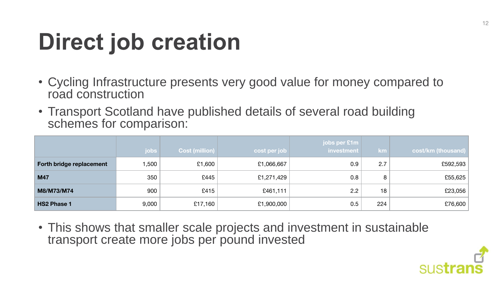## **Direct job creation**

- Cycling Infrastructure presents very good value for money compared to road construction
- Transport Scotland have published details of several road building schemes for comparison:

|                          | jobs  | <b>Cost (million)</b> | cost per job | jobs per £1m<br>investment | / km | cost/km (thousand) |
|--------------------------|-------|-----------------------|--------------|----------------------------|------|--------------------|
| Forth bridge replacement | 1,500 | £1,600                | £1,066,667   | 0.9                        | 2.7  | £592,593           |
| <b>M47</b>               | 350   | £445                  | £1,271,429   | 0.8                        | 8    | £55,625            |
| M8/M73/M74               | 900   | £415                  | £461,111     | 2.2                        | 18   | £23,056            |
| <b>HS2 Phase 1</b>       | 9,000 | £17,160               | £1,900,000   | 0.5                        | 224  | £76,600            |

• This shows that smaller scale projects and investment in sustainable transport create more jobs per pound invested

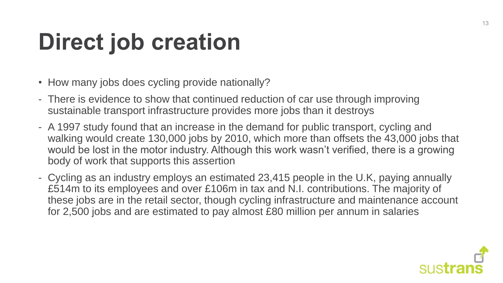## **Direct job creation**

- How many jobs does cycling provide nationally?
- There is evidence to show that continued reduction of car use through improving sustainable transport infrastructure provides more jobs than it destroys
- A 1997 study found that an increase in the demand for public transport, cycling and walking would create 130,000 jobs by 2010, which more than offsets the 43,000 jobs that would be lost in the motor industry. Although this work wasn't verified, there is a growing body of work that supports this assertion
- Cycling as an industry employs an estimated 23,415 people in the U.K, paying annually £514m to its employees and over £106m in tax and N.I. contributions. The majority of these jobs are in the retail sector, though cycling infrastructure and maintenance account for 2,500 jobs and are estimated to pay almost £80 million per annum in salaries

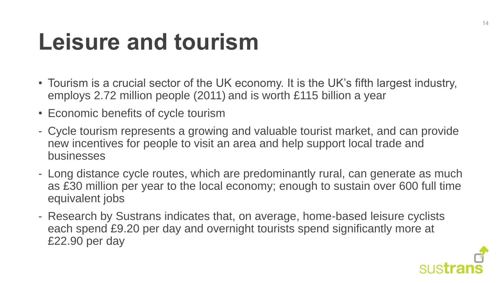### **Leisure and tourism**

- Tourism is a crucial sector of the UK economy. It is the UK's fifth largest industry, employs 2.72 million people (2011) and is worth £115 billion a year
- Economic benefits of cycle tourism
- Cycle tourism represents a growing and valuable tourist market, and can provide new incentives for people to visit an area and help support local trade and businesses
- Long distance cycle routes, which are predominantly rural, can generate as much as £30 million per year to the local economy; enough to sustain over 600 full time equivalent jobs
- Research by Sustrans indicates that, on average, home-based leisure cyclists each spend £9.20 per day and overnight tourists spend significantly more at £22.90 per day

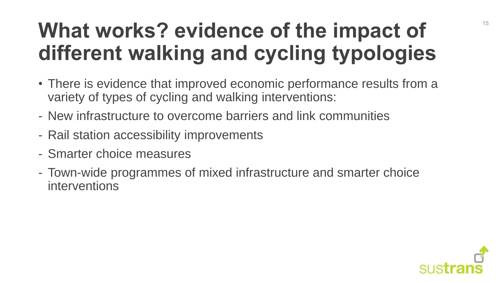#### **What works? evidence of the impact of different walking and cycling typologies**

- There is evidence that improved economic performance results from a variety of types of cycling and walking interventions:
- New infrastructure to overcome barriers and link communities
- Rail station accessibility improvements
- Smarter choice measures
- Town-wide programmes of mixed infrastructure and smarter choice interventions

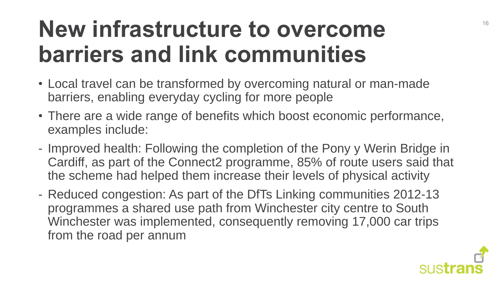#### **New infrastructure to overcome barriers and link communities**

- Local travel can be transformed by overcoming natural or man-made barriers, enabling everyday cycling for more people
- There are a wide range of benefits which boost economic performance, examples include:
- Improved health: Following the completion of the Pony y Werin Bridge in Cardiff, as part of the Connect2 programme, 85% of route users said that the scheme had helped them increase their levels of physical activity
- Reduced congestion: As part of the DfTs Linking communities 2012-13 programmes a shared use path from Winchester city centre to South Winchester was implemented, consequently removing 17,000 car trips from the road per annum

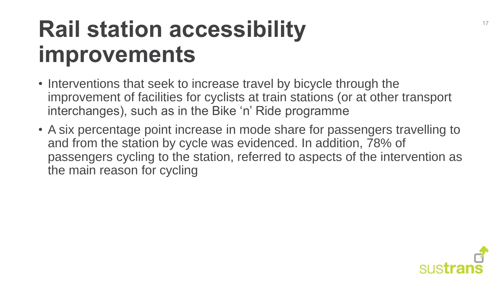#### **Rail station accessibility improvements**

- Interventions that seek to increase travel by bicycle through the improvement of facilities for cyclists at train stations (or at other transport interchanges), such as in the Bike 'n' Ride programme
- A six percentage point increase in mode share for passengers travelling to and from the station by cycle was evidenced. In addition, 78% of passengers cycling to the station, referred to aspects of the intervention as the main reason for cycling

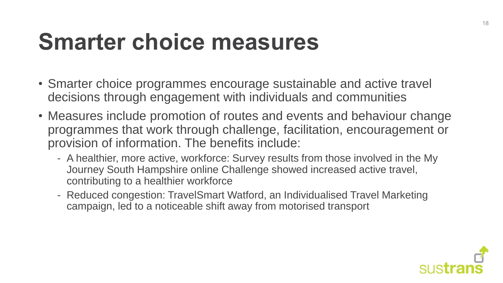#### **Smarter choice measures**

- Smarter choice programmes encourage sustainable and active travel decisions through engagement with individuals and communities
- Measures include promotion of routes and events and behaviour change programmes that work through challenge, facilitation, encouragement or provision of information. The benefits include:
	- A healthier, more active, workforce: Survey results from those involved in the My Journey South Hampshire online Challenge showed increased active travel, contributing to a healthier workforce
	- Reduced congestion: TravelSmart Watford, an Individualised Travel Marketing campaign, led to a noticeable shift away from motorised transport

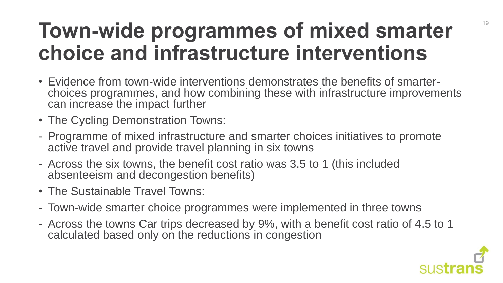#### **Town-wide programmes of mixed smarter choice and infrastructure interventions**

- Evidence from town-wide interventions demonstrates the benefits of smarterchoices programmes, and how combining these with infrastructure improvements can increase the impact further
- The Cycling Demonstration Towns:
- Programme of mixed infrastructure and smarter choices initiatives to promote active travel and provide travel planning in six towns
- Across the six towns, the benefit cost ratio was 3.5 to 1 (this included absenteeism and decongestion benefits)
- The Sustainable Travel Towns:
- Town-wide smarter choice programmes were implemented in three towns
- Across the towns Car trips decreased by 9%, with a benefit cost ratio of 4.5 to 1 calculated based only on the reductions in congestion

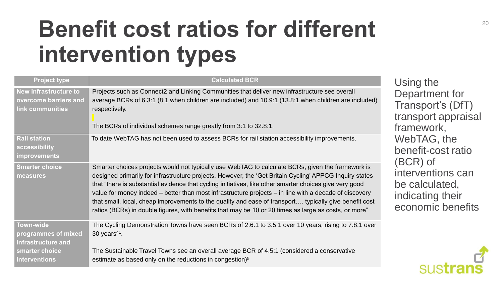#### **Benefit cost ratios for different intervention types**

| <b>Project type</b>                                                       | <b>Calculated BCR</b>                                                                                                                                                                                                                                                                                                                                                                                                                                                                                                                                                                                                                                |
|---------------------------------------------------------------------------|------------------------------------------------------------------------------------------------------------------------------------------------------------------------------------------------------------------------------------------------------------------------------------------------------------------------------------------------------------------------------------------------------------------------------------------------------------------------------------------------------------------------------------------------------------------------------------------------------------------------------------------------------|
| <b>New infrastructure to</b><br>overcome barriers and<br>link communities | Projects such as Connect2 and Linking Communities that deliver new infrastructure see overall<br>average BCRs of 6.3:1 (8:1 when children are included) and 10.9:1 (13.8:1 when children are included)<br>respectively.<br>The BCRs of individual schemes range greatly from 3:1 to 32.8:1.                                                                                                                                                                                                                                                                                                                                                          |
| <b>Rail station</b><br>accessibility<br><b>improvements</b>               | To date WebTAG has not been used to assess BCRs for rail station accessibility improvements.                                                                                                                                                                                                                                                                                                                                                                                                                                                                                                                                                         |
| <b>Smarter choice</b><br>measures                                         | Smarter choices projects would not typically use WebTAG to calculate BCRs, given the framework is<br>designed primarily for infrastructure projects. However, the 'Get Britain Cycling' APPCG Inquiry states<br>that "there is substantial evidence that cycling initiatives, like other smarter choices give very good<br>value for money indeed – better than most infrastructure projects – in line with a decade of discovery<br>that small, local, cheap improvements to the quality and ease of transport typically give benefit cost<br>ratios (BCRs) in double figures, with benefits that may be 10 or 20 times as large as costs, or more" |
| <b>Town-wide</b><br>programmes of mixed<br>infrastructure and             | The Cycling Demonstration Towns have seen BCRs of 2.6:1 to 3.5:1 over 10 years, rising to 7.8:1 over<br>30 years $41$ .                                                                                                                                                                                                                                                                                                                                                                                                                                                                                                                              |
| smarter choice<br><b>interventions</b>                                    | The Sustainable Travel Towns see an overall average BCR of 4.5:1 (considered a conservative<br>estimate as based only on the reductions in congestion) <sup>5</sup>                                                                                                                                                                                                                                                                                                                                                                                                                                                                                  |

Using the Department for Transport's (DfT) ransport appraisal ramework, WebTAG, the benefit-cost ratio (BCR) of nterventions can be calculated, ndicating their economic benefits

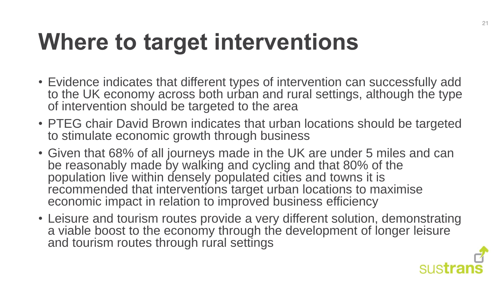## **Where to target interventions**

- Evidence indicates that different types of intervention can successfully add to the UK economy across both urban and rural settings, although the type of intervention should be targeted to the area
- PTEG chair David Brown indicates that urban locations should be targeted to stimulate economic growth through business
- Given that 68% of all journeys made in the UK are under 5 miles and can be reasonably made by walking and cycling and that 80% of the population live within densely populated cities and towns it is recommended that interventions target urban locations to maximise economic impact in relation to improved business efficiency
- Leisure and tourism routes provide a very different solution, demonstrating a viable boost to the economy through the development of longer leisure and tourism routes through rural settings

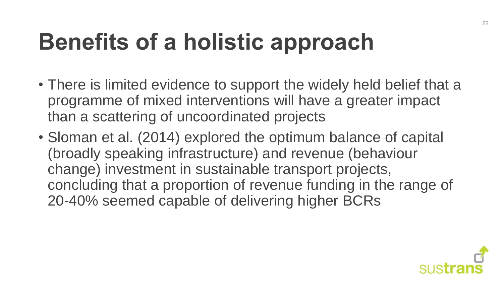## **Benefits of a holistic approach**

- There is limited evidence to support the widely held belief that a programme of mixed interventions will have a greater impact than a scattering of uncoordinated projects
- Sloman et al. (2014) explored the optimum balance of capital (broadly speaking infrastructure) and revenue (behaviour change) investment in sustainable transport projects, concluding that a proportion of revenue funding in the range of 20-40% seemed capable of delivering higher BCRs